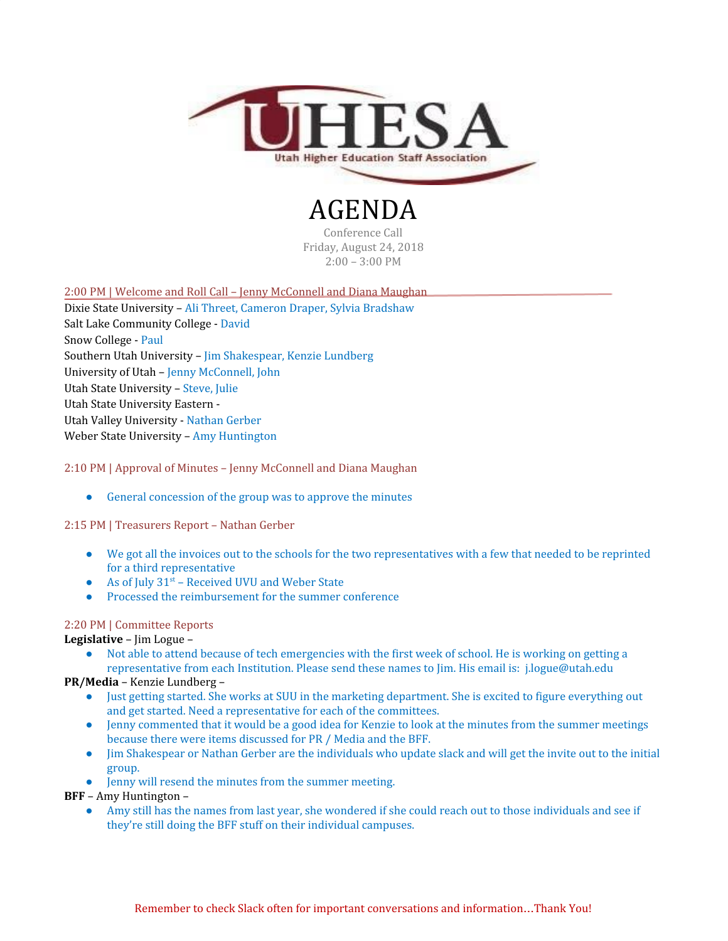

# AGENDA Conference Call

Friday, August 24, 2018 2:00 – 3:00 PM

#### 2:00 PM | Welcome and Roll Call – Jenny McConnell and Diana Maughan

Dixie State University – Ali Threet, Cameron Draper, Sylvia Bradshaw Salt Lake Community College - David Snow College - Paul Southern Utah University – Jim Shakespear, Kenzie Lundberg University of Utah – Jenny McConnell, John Utah State University – Steve, Julie Utah State University Eastern - Utah Valley University - Nathan Gerber Weber State University – Amy Huntington

### 2:10 PM | Approval of Minutes – Jenny McConnell and Diana Maughan

• General concession of the group was to approve the minutes

#### 2:15 PM | Treasurers Report – Nathan Gerber

- We got all the invoices out to the schools for the two representatives with a few that needed to be reprinted for a third representative
- As of July  $31<sup>st</sup>$  Received UVU and Weber State
- Processed the reimbursement for the summer conference

#### 2:20 PM | Committee Reports

**Legislative** – Jim Logue –

● Not able to attend because of tech emergencies with the first week of school. He is working on getting a representative from each Institution. Please send these names to Jim. His email is: j.logue@utah.edu

## **PR/Media** – Kenzie Lundberg –

- Just getting started. She works at SUU in the marketing department. She is excited to figure everything out and get started. Need a representative for each of the committees.
- Jenny commented that it would be a good idea for Kenzie to look at the minutes from the summer meetings because there were items discussed for PR / Media and the BFF.
- Jim Shakespear or Nathan Gerber are the individuals who update slack and will get the invite out to the initial group.
- Jenny will resend the minutes from the summer meeting.

#### **BFF** – Amy Huntington –

● Amy still has the names from last year, she wondered if she could reach out to those individuals and see if they're still doing the BFF stuff on their individual campuses.